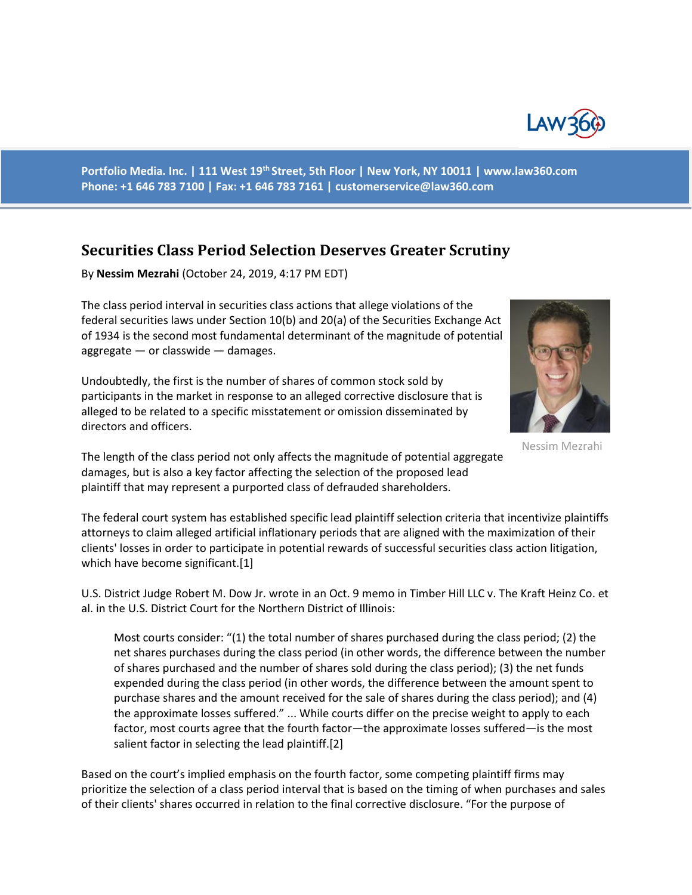

**Portfolio Media. Inc. | 111 West 19th Street, 5th Floor | New York, NY 10011 | www.law360.com Phone: +1 646 783 7100 | Fax: +1 646 783 7161 | customerservice@law360.com**

## **Securities Class Period Selection Deserves Greater Scrutiny**

By **Nessim Mezrahi** (October 24, 2019, 4:17 PM EDT)

The class period interval in securities class actions that allege violations of the federal securities laws under Section 10(b) and 20(a) of the Securities Exchange Act of 1934 is the second most fundamental determinant of the magnitude of potential aggregate — or classwide — damages.

Undoubtedly, the first is the number of shares of common stock sold by participants in the market in response to an alleged corrective disclosure that is alleged to be related to a specific misstatement or omission disseminated by directors and officers.



Nessim Mezrahi

The length of the class period not only affects the magnitude of potential aggregate damages, but is also a key factor affecting the selection of the proposed lead plaintiff that may represent a purported class of defrauded shareholders.

The federal court system has established specific lead plaintiff selection criteria that incentivize plaintiffs attorneys to claim alleged artificial inflationary periods that are aligned with the maximization of their clients' losses in order to participate in potential rewards of successful securities class action litigation, which have become significant.[1]

U.S. District Judge Robert M. Dow Jr. wrote in an Oct. 9 memo in Timber Hill LLC v. The Kraft Heinz Co. et al. in the U.S. District Court for the Northern District of Illinois:

Most courts consider: "(1) the total number of shares purchased during the class period; (2) the net shares purchases during the class period (in other words, the difference between the number of shares purchased and the number of shares sold during the class period); (3) the net funds expended during the class period (in other words, the difference between the amount spent to purchase shares and the amount received for the sale of shares during the class period); and (4) the approximate losses suffered." ... While courts differ on the precise weight to apply to each factor, most courts agree that the fourth factor—the approximate losses suffered—is the most salient factor in selecting the lead plaintiff.[2]

Based on the court's implied emphasis on the fourth factor, some competing plaintiff firms may prioritize the selection of a class period interval that is based on the timing of when purchases and sales of their clients' shares occurred in relation to the final corrective disclosure. "For the purpose of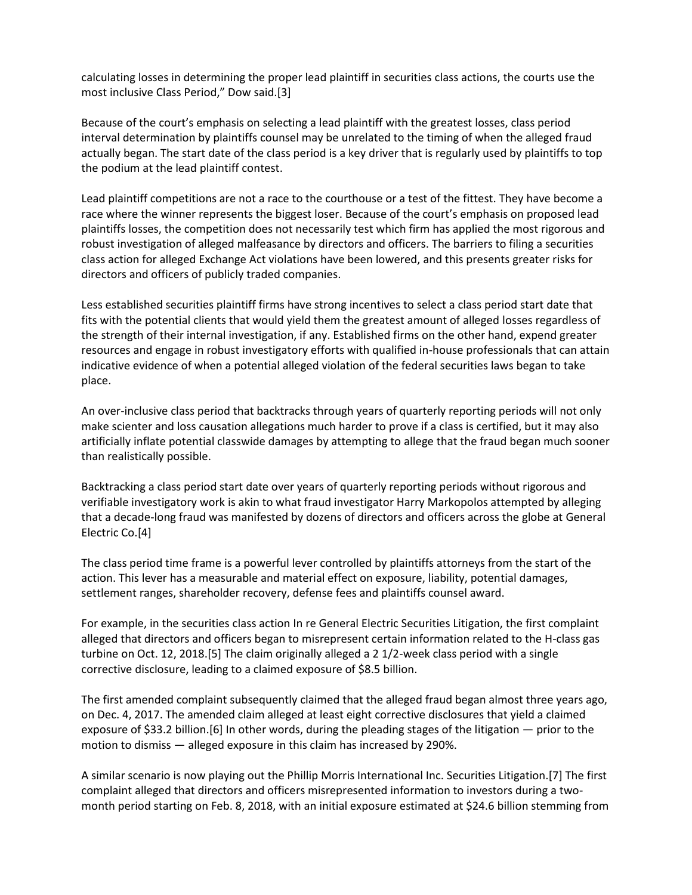calculating losses in determining the proper lead plaintiff in securities class actions, the courts use the most inclusive Class Period," Dow said.[3]

Because of the court's emphasis on selecting a lead plaintiff with the greatest losses, class period interval determination by plaintiffs counsel may be unrelated to the timing of when the alleged fraud actually began. The start date of the class period is a key driver that is regularly used by plaintiffs to top the podium at the lead plaintiff contest.

Lead plaintiff competitions are not a race to the courthouse or a test of the fittest. They have become a race where the winner represents the biggest loser. Because of the court's emphasis on proposed lead plaintiffs losses, the competition does not necessarily test which firm has applied the most rigorous and robust investigation of alleged malfeasance by directors and officers. The barriers to filing a securities class action for alleged Exchange Act violations have been lowered, and this presents greater risks for directors and officers of publicly traded companies.

Less established securities plaintiff firms have strong incentives to select a class period start date that fits with the potential clients that would yield them the greatest amount of alleged losses regardless of the strength of their internal investigation, if any. Established firms on the other hand, expend greater resources and engage in robust investigatory efforts with qualified in-house professionals that can attain indicative evidence of when a potential alleged violation of the federal securities laws began to take place.

An over-inclusive class period that backtracks through years of quarterly reporting periods will not only make scienter and loss causation allegations much harder to prove if a class is certified, but it may also artificially inflate potential classwide damages by attempting to allege that the fraud began much sooner than realistically possible.

Backtracking a class period start date over years of quarterly reporting periods without rigorous and verifiable investigatory work is akin to what fraud investigator Harry Markopolos attempted by alleging that a decade-long fraud was manifested by dozens of directors and officers across the globe at General Electric Co.[4]

The class period time frame is a powerful lever controlled by plaintiffs attorneys from the start of the action. This lever has a measurable and material effect on exposure, liability, potential damages, settlement ranges, shareholder recovery, defense fees and plaintiffs counsel award.

For example, in the securities class action In re General Electric Securities Litigation, the first complaint alleged that directors and officers began to misrepresent certain information related to the H-class gas turbine on Oct. 12, 2018.[5] The claim originally alleged a 2 1/2-week class period with a single corrective disclosure, leading to a claimed exposure of \$8.5 billion.

The first amended complaint subsequently claimed that the alleged fraud began almost three years ago, on Dec. 4, 2017. The amended claim alleged at least eight corrective disclosures that yield a claimed exposure of \$33.2 billion.[6] In other words, during the pleading stages of the litigation — prior to the motion to dismiss — alleged exposure in this claim has increased by 290%.

A similar scenario is now playing out the Phillip Morris International Inc. Securities Litigation.[7] The first complaint alleged that directors and officers misrepresented information to investors during a twomonth period starting on Feb. 8, 2018, with an initial exposure estimated at \$24.6 billion stemming from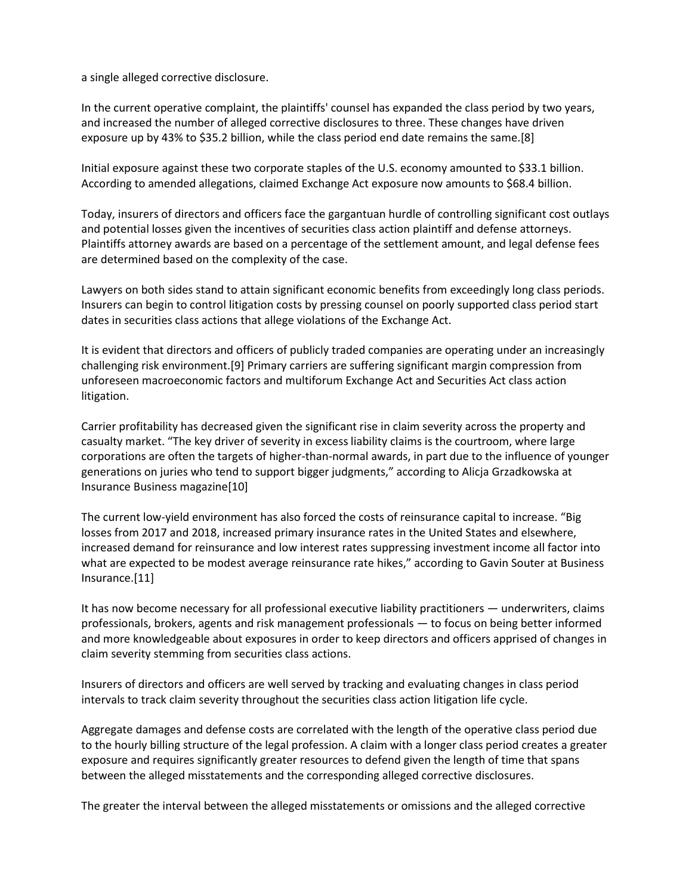a single alleged corrective disclosure.

In the current operative complaint, the plaintiffs' counsel has expanded the class period by two years, and increased the number of alleged corrective disclosures to three. These changes have driven exposure up by 43% to \$35.2 billion, while the class period end date remains the same.[8]

Initial exposure against these two corporate staples of the U.S. economy amounted to \$33.1 billion. According to amended allegations, claimed Exchange Act exposure now amounts to \$68.4 billion.

Today, insurers of directors and officers face the gargantuan hurdle of controlling significant cost outlays and potential losses given the incentives of securities class action plaintiff and defense attorneys. Plaintiffs attorney awards are based on a percentage of the settlement amount, and legal defense fees are determined based on the complexity of the case.

Lawyers on both sides stand to attain significant economic benefits from exceedingly long class periods. Insurers can begin to control litigation costs by pressing counsel on poorly supported class period start dates in securities class actions that allege violations of the Exchange Act.

It is evident that directors and officers of publicly traded companies are operating under an increasingly challenging risk environment.[9] Primary carriers are suffering significant margin compression from unforeseen macroeconomic factors and multiforum Exchange Act and Securities Act class action litigation.

Carrier profitability has decreased given the significant rise in claim severity across the property and casualty market. "The key driver of severity in excess liability claims is the courtroom, where large corporations are often the targets of higher-than-normal awards, in part due to the influence of younger generations on juries who tend to support bigger judgments," according to Alicja Grzadkowska at Insurance Business magazine[10]

The current low-yield environment has also forced the costs of reinsurance capital to increase. "Big losses from 2017 and 2018, increased primary insurance rates in the United States and elsewhere, increased demand for reinsurance and low interest rates suppressing investment income all factor into what are expected to be modest average reinsurance rate hikes," according to Gavin Souter at Business Insurance.[11]

It has now become necessary for all professional executive liability practitioners — underwriters, claims professionals, brokers, agents and risk management professionals — to focus on being better informed and more knowledgeable about exposures in order to keep directors and officers apprised of changes in claim severity stemming from securities class actions.

Insurers of directors and officers are well served by tracking and evaluating changes in class period intervals to track claim severity throughout the securities class action litigation life cycle.

Aggregate damages and defense costs are correlated with the length of the operative class period due to the hourly billing structure of the legal profession. A claim with a longer class period creates a greater exposure and requires significantly greater resources to defend given the length of time that spans between the alleged misstatements and the corresponding alleged corrective disclosures.

The greater the interval between the alleged misstatements or omissions and the alleged corrective